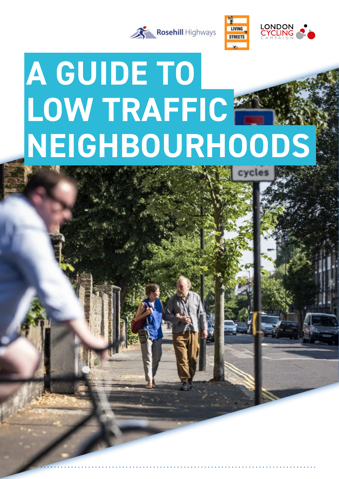



# **A GUIDE TO LOW TRAFFIC NEIGHBOURHOODS**cycles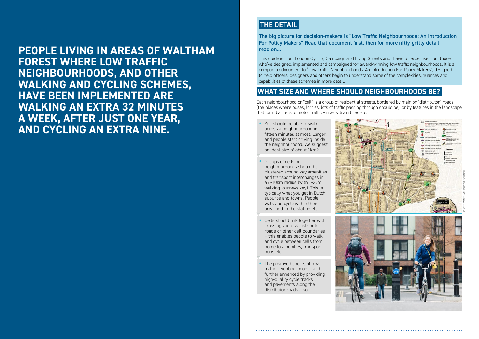# **THE DETAIL**

The big picture for decision-makers is "Low Traffic Neighbourhoods: An Introduction For Policy Makers" Read that document first, then for more nitty-gritty detail read on…

This guide is from London Cycling Campaign and Living Streets and draws on expertise from those who've designed, implemented and campaigned for award-winning low traffic neighbourhoods. It is a companion document to "Low Traffic Neighbourhoods: An Introduction For Policy Makers", designed to help officers, designers and others begin to understand some of the complexities, nuances and capabilities of these schemes in more detail.

# **WHAT SIZE AND WHERE SHOULD NEIGHBOURHOODS BE?**

Each neighbourhood or "cell" is a group of residential streets, bordered by main or "distributor" roads (the places where buses, lorries, lots of traffic passing through should be), or by features in the landscape that form barriers to motor traffic – rivers, train lines etc.

- You should be able to walk across a neighbourhood in fifteen minutes at most. Larger, and people start driving inside the neighbourhood. We suggest an ideal size of about 1km2.
- Groups of cells or neighbourhoods should be clustered around key amenities and transport interchanges in a 6-10km radius (with 1-2km walking journeys key). This is typically what you get in Dutch suburbs and towns. People walk and cycle within their area, and to the station etc.
- Cells should link together with crossings across distributor roads or other cell boundaries – this enables people to walk and cycle between cells from home to amenities, transport hubs etc.
- The positive benefits of low traffic neighbourhoods can be further enhanced by providing high-quality cycle tracks and pavements along the distributor roads also.



**PEOPLE LIVING IN AREAS OF WALTHAM FOREST WHERE LOW TRAFFIC NEIGHBOURHOODS, AND OTHER WALKING AND CYCLING SCHEMES, HAVE BEEN IMPLEMENTED ARE WALKING AN EXTRA 32 MINUTES A WEEK, AFTER JUST ONE YEAR, AND CYCLING AN EXTRA NINE.**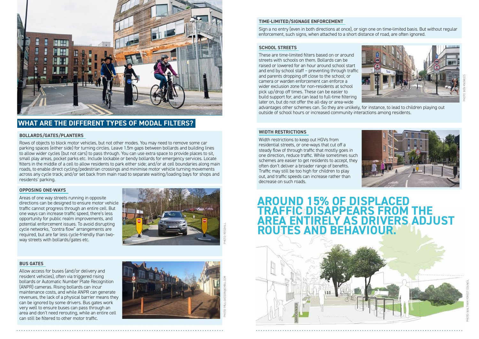Allow access for buses (and/or delivery and resident vehicles), often via triggered rising bollards or Automatic Number Plate Recognition (ANPR) cameras. Rising bollards can incur maintenance costs, and while ANPR can generate revenues, the lack of a physical barrier means they can be ignored by some drivers. Bus gates work very well to ensure buses can pass through an area and don't need rerouting, while an entire cell can still be filtered to other motor traffic.

Width restrictions to keep out HGVs from residential streets, or one-ways that cut off a steady flow of through traffic that mostly goes in Steady how of through traffic. While sometimes such the selection, the selection, reduce traffic. While sometimes such schemes are easier to get residents to accept, they often don't deliver a broader range of benefits. A review of the conducted from six months after full in planet Traffic may still be too high for children to play out, and traffic speeds can increase rather than decrease on such roads. We welcome your feedback or comments or questions of  $\mathcal{A}$ The direction, require trainc. Writte sometimes such the design process.

## **TIME-LIMITED/SIGNAGE ENFORCEMENT**

Sign a no entry (even in both directions at once), or sign one on time-limited basis. But without regular Sign a no entry (even in both directions at once), or sign one on time-limited basis. But<br>enforcement, such signs, when attached to a short distance of road, are often ignored. itten ignored.

# **SCHOOL STREETS**

These are time-limited filters based on or around<br>streets with schools on them. Bollards can be streets with schools on them. Bollards can be **Figure 19** raised or lowered for an hour around school start  $\Box$ and end by school staff - preventing through traffic and parents dropping off close to the school; or drid parents are pping on etose to the senoot, or wider exclusion zone for non-residents at school **The Cushions and The Cushions with new speed** where exercision zone for non-residents at send<br>pick up/drop off times. These can be easier to place up, and plant annous innous dans be busined to full-time filtering later on, but do not offer the all-day or area-wide advantages other schemes can. So they are unlikely, for instance, to lead to children playing out outside of school hours or increased community interactions among residents. village area continues MAY/JUNE/JULY and in please road in the road in the control of the control of the control of the control of the control of the control of the control of the control of the control of the control of the control of the control of the cont to criitari<br>Jonte

# PHOTO: ROSEHILL

## **BUS GATES** travel on the state will be a state will be a state of the state will be a state of the state of the state of the state of the state of the state of the state of the state of the state of the state of the state



## **WIDTH RESTRICTIONS**

Areas of one way streets running in opposite directions can be designed to ensure motor vehicle traffic cannot progress through an entire cell. But one ways can increase traffic speed, there's less opportunity for public realm improvements, and potential enforcement issues. To avoid disrupting cycle networks, "contra flow" arrangements are required, but are far less cycle-friendly than twoway streets with bollards/gates etc. space into the evenings. The scheme will be enforced by

PHOTO: BEN KNOWLES

![](_page_2_Picture_21.jpeg)

![](_page_2_Picture_0.jpeg)

#### WHAT ARE THE DIFFERENT TYPES OF MODAL FILTERS? For further information about the final design please see workshops from residents, we identified public spaces UT MUDAL FILI ENJE

#### BOLLARDS/GATES/PLANTERS

wows of objects to block motor vehicles, but not other modes. You may need to remove some car rows or objects to biock motel venietes, but not other modes. Touring need to remove some can<br>parking spaces (either side) for turning circles. Leave 1.5m gaps between bollards and building lines to allow wider cycles (but not cars) to pass through. You can use extra space to provide places to sit, small play areas, pocket parks etc. Include lockable or bendy bollards for emergency services. Locate filters in the middle of a cell to allow residents to park either side; and/or at cell boundaries along main roads, to enable direct cycling/pedestrian crossings and minimise motor vehicle turning movements across any cycle track; and/or set back from main road to separate waiting/loading bays for shops and pass the space will be allocated to allocated to allocated to allocated to allocated to allocated to allocated turn around, and improve accessibility several to improve accessibility several to improve accessibility several to improve a several to the contract of the contract of the contract of the contract of the contract of the c

#### **OPPOSING ONE-WAYS** closure and traffic direction changes are shown on the shown on the shown on the shown on the shown on the shown on the shown of the shown of the shown of the shown of the shown of the shown of the shown of the shown of th

![](_page_2_Picture_6.jpeg)

popularity and ask residents and businesses for further  $\sim$ 

![](_page_2_Picture_19.jpeg)

**AROUND 15% OF DISPLACED TRAFFIC DISAPPEARS FROM THE AREA ENTIRELY AS DRIVERS ADJUST ROUTES AND BEHAVIOUR.**

![](_page_2_Picture_18.jpeg)

PHOTO: WALTHAM FOREST COUNCIL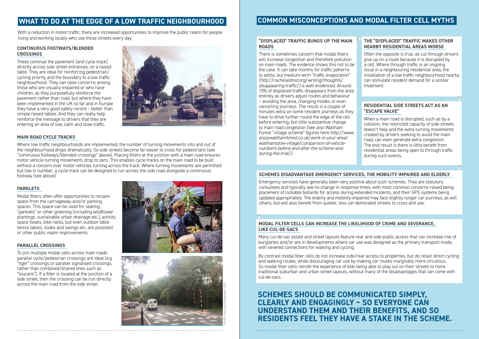#### **CONTINUOUS FOOTWAYS/BLENDED CROSSINGS**

These continue the pavement (and cycle track) directly across side street entrances, on a raised table. They are ideal for reinforcing pedestrian/ cycling priority and the boundary to a low traffic neighbourhood. They can raise concerns among those who are visually-impaired or who have children, as they purposefully reinforce the pavement rather than road, but where they have been implemented in the UK so far and in Europe they have a very good safety record – better than simple raised tables. And they can really help reinforce the message to drivers that they are entering an area of low, calm and slow traffic.

#### **MAIN ROAD CYCLE TRACKS**

Where low traffic neighbourhoods are implemented, the number of turning movements into and out of the neighbourhood drops dramatically. So side streets become far easier to cross for pedestrians (see "continuous footways/blended crossings" above). Placing filters at the junction with a main road ensures motor vehicle turning movements drop to zero. This enables cycle tracks on the main road to be built without a concern over motor vehicles turning across the track. Where turning movements are permitted but low in number, a cycle track can be designed to run across the side road alongside a continuous footway (see above).

## **PARKLETS**

Modal filters often offer opportunities to reclaim space from the carriageway and/or parking spaces. This space can be used for seating, "parklets" or other greening (including wildflower plantings, sustainable urban drainage etc.), activity space (seats, bike racks, but even outdoor table tennis tables, slides and swings etc. are possible) or other public realm improvements.

#### **PARALLEL CROSSINGS**

To join multiple modal cells across main roads parallel cycle/pedestrian crossings are ideal (e.g. "tiger" crossings or parallel signalised crossings, rather than combined/shared ones such as "toucans"). If a filter is located at the junction of a side street, then the crossing can be run directly across the main road from the side street.

![](_page_3_Picture_11.jpeg)

![](_page_3_Picture_4.jpeg)

![](_page_3_Picture_12.jpeg)

# **WHAT TO DO AT THE EDGE OF A LOW TRAFFIC NEIGHBOURHOOD COMMON MISCONCEPTIONS AND MODAL FILTER CELL MYTHS**

With a reduction in motor traffic, there are increased opportunities to improve the public realm for people living and working locally who use those streets every day. **"DISPLACED" TRAFFIC BUNGS UP THE MAIN** 

# **ROADS**

There is sometimes concern that modal filters will increase congestion and therefore pollution on main roads. The evidence shows this not to be the case. It can take months for traffic patterns to settle, but medium-term "traffic evaporation" *(http://rachelaldred.org/writing/thoughts/ disappearing-traffic/)* is well-evidenced. Around 15% of displaced traffic disappears from the area entirely as drivers adjust routes and behaviour – avoiding the area, changing modes or even cancelling journeys. The result is a couple of minutes extra on some resident journeys as they have to drive further round the edge of the cell before entering, but little substantive change to main road congestion (see also Waltham Forest "village scheme" figures here *http://www. enjoywalthamforest.co.uk/work-in-your-area/ walthamstow-village/comparison-of-vehiclenumbers-before-and-after-the-scheme-andduring-the-trial/)*.

#### **SCHEMES DISADVANTAGE EMERGENCY SERVICES, THE MOBILITY IMPAIRED AND ELDERLY**

Emergency services have generally been very positive about such schemes. They are statutory consultees and typically see no change in response times, with most common concerns raised being placement of lockable bollards for access during extended incidents, and their GPS systems being updated appropriately. The elderly and mobility-impaired may face slightly longer car journeys, as will others, but will also benefit from quieter, less car-dominated streets to cross and use.

#### **MODAL FILTER CELLS CAN INCREASE THE LIKELIHOOD OF CRIME AND SEVERANCE, LIKE CUL-DE-SACS**

Many cul-de-sac estate and street layouts feature rear and side public access that can increase risk of burglaries and/or are in developments where car use was designed as the primary transport mode, with severed connections for walking and cycling.

By contrast modal filter cells do not increase side/rear access to properties, but do retain direct cycling and walking routes, while discouraging car use by making car routes marginally more circuitous. So modal filter cells retrofit the experience of kids being able to play out on their streets to more traditional suburban and urban street layouts, without many of the disadvantages that can come with cul-de-sacs.

## **THE "DISPLACED" TRAFFIC MAKES OTHER NEARBY RESIDENTIAL AREAS WORSE**

Often the opposite is true, as cut-through drivers give up on a route because it is disrupted by a cell. Where through traffic is an ongoing issue in a neighbouring residential area, the installation of a low traffic neighbourhood nearby can stimulate resident demand for a similar treatment.

#### **RESIDENTIAL SIDE STREETS ACT AS AN "ESCAPE VALVE"**

When a main road is disrupted, such as by a collision, the restricted capacity of side streets doesn't help and the extra turning movements created by drivers seeking to avoid the main road, can even generate extra congestion. The end result is there is little benefit from residential areas being open to through traffic during such events.

# **SCHEMES SHOULD BE COMMUNICATED SIMPLY, CLEARLY AND ENGAGINGLY – SO EVERYONE CAN UNDERSTAND THEM AND THEIR BENEFITS, AND SO RESIDENTS FEEL THEY HAVE A STAKE IN THE SCHEME.**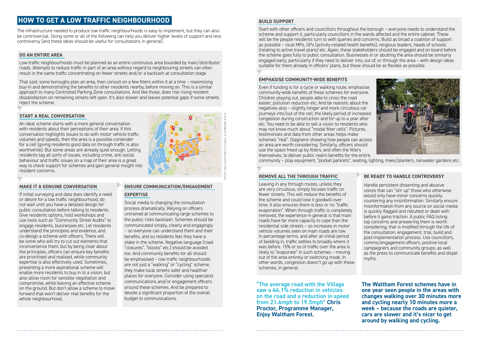## **EMPHASISE COMMUNITY-WIDE BENEFITS**

Even if funding is for a cycle or walking route, emphasise community-wide benefits of these schemes for everyone. Children playing out, people able to cross the road easier, pollution reduction etc. And be realistic about the negatives also – slightly longer and more circuitous car journeys into/out of the cell; the likely period of increased congestion during construction and for up to a year after etc. You need to be able to sell a vision to residents who may not know much about "modal filter cells". Pictures, testimonials and data from other areas helps make schemes "real". Diagrams showing how people can access an area are worth considering. Similarly, officers should use the space freed up by filters, and often the filters themselves, to deliver public realm benefits for the entire community – play equipment, "pocket parklets", seating, lighting, trees/planters, rainwater gardens etc.

## **HOW TO GET A LOW TRAFFIC NEIGHBOURHOOD**

The infrastructure needed to produce low traffic neighbourhoods is easy to implement, but they can also be controversial. Doing some or all of the following can help you deliver higher levels of support and less controversy (and these ideas should be useful for consultations in general).

#### **DO AN ENTIRE AREA**

Low traffic neighbourhoods must be planned as an entire continuous area bounded by main/distributor roads. Attempts to reduce traffic in part of an area without regard to neighbouring streets can often result in the same traffic concentrating on fewer streets and/or a backlash at consultation stage.

That said, some boroughs plan an area, then consult on a few filters within it at a time – maximising buy-in and demonstrating the benefits to other residents nearby, before moving on. This is a similar approach to many Controlled Parking Zone consultations. And like those, does risk rising resident dissatisfaction on remaining streets left open. It's also slower and leaves potential gaps if some streets reject the scheme.

#### **START A REAL CONVERSATION**

An ideal scheme starts with a more general conversation with residents about their perceptions of their area. If this conversation highlights issues to do with motor vehicle traffic volumes and speeds, then the area is a possible contender for a cell (giving residents good data on through traffic is also worthwhile). But some areas are already quiet enough. Letting residents tag all sorts of issues, including crime, anti-social behaviour and traffic issues on a map of their area is a great way to check support for schemes and gain general insight into resident concerns.

#### **MAKE IT A GENUINE CONVERSATION**

If initial surveying and data does identify a need or desire for a low traffic neighbourhood, do not wait until you have a detailed design for public consultation before talking to residents. Give residents options, hold workshops and use tools such as "Community Street Audits" to engage residents, businesses etc. Let residents understand the principles and evidence, and co-design a scheme with officers. There will be some who will try to cut out elements that inconvenience them, but by being clear about the principles, officers can ensure key benefits are prioritised and realised, while community expertise is also effectively used. Sometimes, presenting a more aspirational scheme will enable more residents to buy in to a vision, but also allow room for sensible negotiation and compromise, while leaving an effective scheme on the ground. But don't allow a scheme to move forward that won't deliver real benefits for the whole neighbourhood.

## **ENSURE COMMUNICATION/ENGAGEMENT EXPERTISE**

Social media is changing the consultation process dramatically. Relying on officers untrained at communicating large schemes to the public risks backlash. Schemes should be communicated simply, clearly and engagingly – so everyone can understand them and their benefits, and so residents feel they have a stake in the scheme. Negative language (road "closures", "blocks" etc.) should be avoided too. And community benefits for all should be emphasised – low traffic neighbourhoods are not just a "walking" or "cycling" scheme, they make local streets safer and healthier places for everyone. Consider using specialist communications and/or engagement officers around these schemes. And be prepared to devote a significant proportion of the overall budget to communications.

## **REMOVE ALL THE THROUGH TRAFFIC**

Leaving in any through routes, unless they are very circuitous, simply focuses traffic on fewer streets. This will reduce the benefits of the scheme and could lose it goodwill over time. It also ensures there is less or no "traffic evaporation". When through traffic is completely removed, the experience in general is that main roads have far more capacity to cope than the residential side streets – so increases in motor vehicle volumes seen on main roads are low in percentage terms, and after an initial period of bedding in, traffic settles to broadly where it was before. 15% or so of traffic over the area is likely to "evaporate" in such schemes – moving out of the area entirely or switching mode. In other words, congestion doesn't go up with these schemes, in general.

Handle persistent dissenting and abusive voices that can "stir up" those who otherwise would only have minor concerns quickly, countering any misinformation. Similarly ensure misinformation from any source on social media is quickly flagged and rebutted or dealt with before it gains traction. A public FAQ listing top concerns and answering them is worth considering, that is modified through the life of the consultation, engagement, trial, build and post-implementation process. Use councillors, comms/engagement officers, positive local campaigners and community groups, as well as the press to communicate benefits and dispel myths.

![](_page_4_Figure_7.jpeg)

#### **BUILD SUPPORT**

Start with other officers and councillors throughout the borough – everyone needs to understand the scheme and support it, particularly councillors in the wards affected and the entire cabinet. These will be the people residents turn to with queries and concerns. Build as broad a coalition of support as possible – local MPs, GPs (activity-related health benefits), religious leaders, heads of schools (relating to active travel plans) etc. Again, these stakeholders should be engaged and on board before the scheme goes fully to public consultation. Businesses in or abutting the area should be similarly engaged early, particularly if they need to deliver into, out of, or through the area – with design ideas suitable for them already in officers' plans, but these should be as flexible as possible.

**"The average road with the Village saw a 44.1% reduction in vehicles on the road and a reduction in speed from 21.6mph to 19.5mph" Chris Proctor, Programme Manager, Enjoy Waltham Forest.**

![](_page_4_Picture_19.jpeg)

#### **BE READY TO HANDLE CONTROVERSY**

**The Waltham Forest schemes have in one year seen people in the areas with changes walking over 30 minutes more and cycling nearly 10 minutes more a week – because the roads are quieter, cars are slower and it's nicer to get around by walking and cycling.**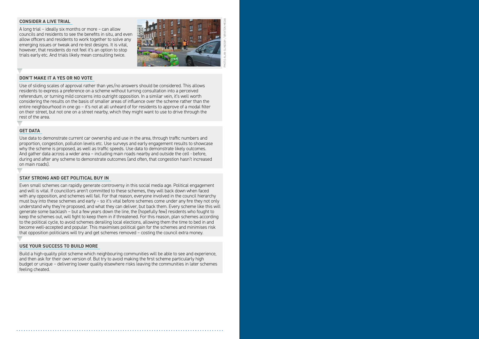#### **CONSIDER A LIVE TRIAL**

A long trial – ideally six months or more – can allow councils and residents to see the benefits in situ, and even allow officers and residents to work together to solve any emerging issues or tweak and re-test designs. It is vital, however, that residents do not feel it's an option to stop trials early etc. And trials likely mean consulting twice.

![](_page_5_Picture_2.jpeg)

#### **DON'T MAKE IT A YES OR NO VOTE**

Use of sliding scales of approval rather than yes/no answers should be considered. This allows residents to express a preference on a scheme without turning consultation into a perceived referendum, or turning mild concerns into outright opposition. In a similar vein, it's well worth considering the results on the basis of smaller areas of influence over the scheme rather than the entire neighbourhood in one go – it's not at all unheard of for residents to approve of a modal filter on their street, but not one on a street nearby, which they might want to use to drive through the rest of the area.

#### **GET DATA**

Use data to demonstrate current car ownership and use in the area, through traffic numbers and proportion, congestion, pollution levels etc. Use surveys and early engagement results to showcase why the scheme is proposed, as well as traffic speeds. Use data to demonstrate likely outcomes. And gather data across a wider area – including main roads nearby and outside the cell - before, during and after any scheme to demonstrate outcomes (and often, that congestion hasn't increased on main roads).

## **STAY STRONG AND GET POLITICAL BUY IN**

Even small schemes can rapidly generate controversy in this social media age. Political engagement and will is vital. If councillors aren't committed to these schemes, they will back down when faced with any opposition, and schemes will fail. For that reason, everyone involved in the council hierarchy must buy into these schemes and early – so it's vital before schemes come under any fire they not only understand why they're proposed, and what they can deliver, but back them. Every scheme like this will generate some backlash – but a few years down the line, the (hopefully few) residents who fought to keep the schemes out, will fight to keep them in if threatened. For this reason, plan schemes according to the political cycle, to avoid schemes derailing local elections, allowing them the time to bed in and become well-accepted and popular. This maximises political gain for the schemes and minimises risk that opposition politicians will try and get schemes removed – costing the council extra money.

#### **USE YOUR SUCCESS TO BUILD MORE**

Build a high-quality pilot scheme which neighbouring communities will be able to see and experience, and then ask for their own version of. But try to avoid making the first scheme particularly high budget or unique – delivering lower quality elsewhere risks leaving the communities in later schemes feeling cheated.